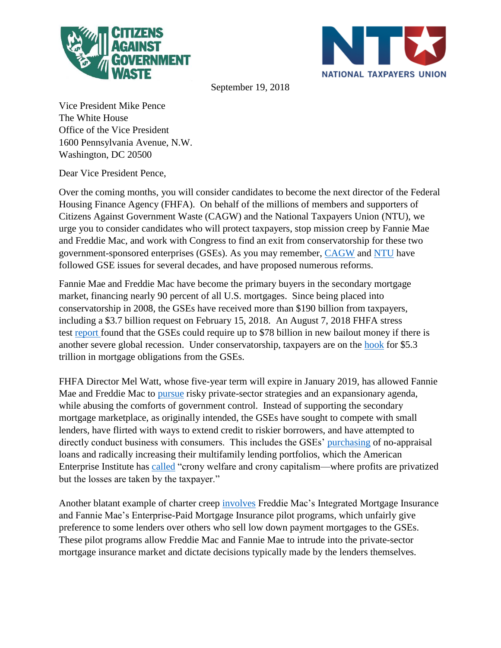



September 19, 2018

Vice President Mike Pence The White House Office of the Vice President 1600 Pennsylvania Avenue, N.W. Washington, DC 20500

Dear Vice President Pence,

Over the coming months, you will consider candidates to become the next director of the Federal Housing Finance Agency (FHFA). On behalf of the millions of members and supporters of Citizens Against Government Waste (CAGW) and the National Taxpayers Union (NTU), we urge you to consider candidates who will protect taxpayers, stop mission creep by Fannie Mae and Freddie Mac, and work with Congress to find an exit from conservatorship for these two government-sponsored enterprises (GSEs). As you may remember, [CAGW](https://thehill.com/opinion/finance/382542-the-wasteful-spending-at-fannie-mae-and-freddie-mac-must-end) and [NTU](https://www.ntu.org/publications/detail/10-years-since-conservatorship-began-the-gses-are-still-a-risk-to-taxpayers) have followed GSE issues for several decades, and have proposed numerous reforms.

Fannie Mae and Freddie Mac have become the primary buyers in the secondary mortgage market, financing nearly 90 percent of all U.S. mortgages. Since being placed into conservatorship in 2008, the GSEs have received more than \$190 billion from taxpayers, including a \$3.7 billion request on February 15, 2018. An August 7, 2018 FHFA stress test [report](https://www.fhfa.gov/AboutUs/Reports/ReportDocuments/2018_DFAST_Severely-Adverse-Scenario.pdf#page=4) found that the GSEs could require up to \$78 billion in new bailout money if there is another severe global recession. Under conservatorship, taxpayers are on the [hook](https://financialservices.house.gov/news/documentsingle.aspx?DocumentID=403883) for \$5.3 trillion in mortgage obligations from the GSEs.

FHFA Director Mel Watt, whose five-year term will expire in January 2019, has allowed Fannie Mae and Freddie Mac to [pursue](https://www.cagw.org/thewastewatcher/gse-uncertainty-continues-put-taxpayers-risk) risky private-sector strategies and an expansionary agenda, while abusing the comforts of government control. Instead of supporting the secondary mortgage marketplace, as originally intended, the GSEs have sought to compete with small lenders, have flirted with ways to extend credit to riskier borrowers, and have attempted to directly conduct business with consumers. This includes the GSEs' [purchasing](https://www.washingtonpost.com/realestate/fannie-and-freddie-approve-thousands-of-loans-with-no-formal-appraisals/2018/04/30/50503d9c-4c95-11e8-af46-b1d6dc0d9bfe_story.html?utm_term=.060f067aa96a) of no-appraisal loans and radically increasing their multifamily lending portfolios, which the American Enterprise Institute has [called](http://www.aei.org/wp-content/uploads/2013/08/-white-wilkins-aei-paper-a-privatized-multifamily-financing-market-brief-7-16-13_170321805224.pdf) "crony welfare and crony capitalism—where profits are privatized but the losses are taken by the taxpayer."

Another blatant example of charter creep [involves](https://crt.freddiemac.com/offerings/imagin.aspx) Freddie Mac's Integrated Mortgage Insurance and Fannie Mae's Enterprise-Paid Mortgage Insurance pilot programs, which unfairly give preference to some lenders over others who sell low down payment mortgages to the GSEs. These pilot programs allow Freddie Mac and Fannie Mae to intrude into the private-sector mortgage insurance market and dictate decisions typically made by the lenders themselves.